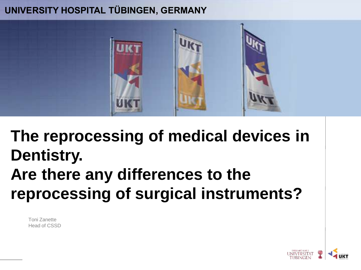#### **UNIVERSITY HOSPITAL TÜBINGEN, GERMANY**



**The reprocessing of medical devices in Dentistry. Are there any differences to the reprocessing of surgical instruments?**

Toni Zanette Head of CSSD

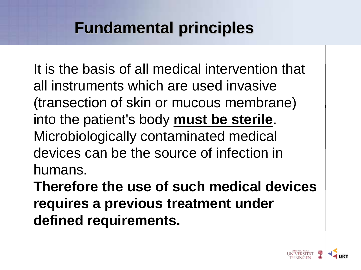It is the basis of all medical intervention that all instruments which are used invasive (transection of skin or mucous membrane) into the patient's body **must be sterile**. Microbiologically contaminated medical devices can be the source of infection in humans.

**Therefore the use of such medical devices requires a previous treatment under defined requirements.**

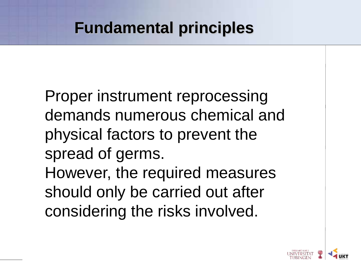Proper instrument reprocessing demands numerous chemical and physical factors to prevent the spread of germs. However, the required measures should only be carried out after considering the risks involved.

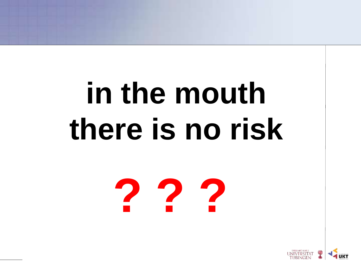# **in the mouth there is no risk**

**? ? ?**

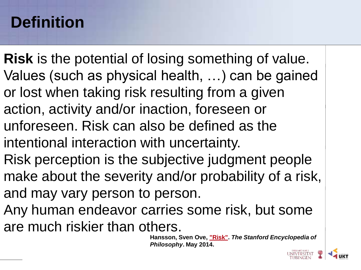## **Definition**

- **Risk** is the potential of losing something of value. Values (such as physical health, …) can be gained or lost when taking risk resulting from a given action, activity and/or inaction, foreseen or unforeseen. Risk can also be defined as the intentional interaction with uncertainty. Risk perception is the subjective judgment people make about the severity and/or probability of a risk, and may vary person to person.
- Any human endeavor carries some risk, but some are much riskier than others.

**Hansson, Sven Ove, ["Risk".](http://plato.stanford.edu/archives/spr2014/entries/risk/)** *The Stanford Encyclopedia of Philosophy***. May 2014.**

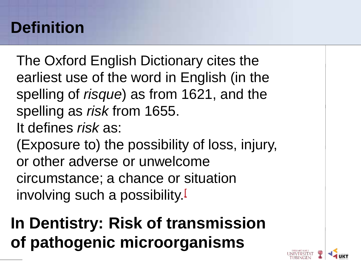## **Definition**

The Oxford English Dictionary cites the earliest use of the word in English (in the spelling of *risque*) as from 1621, and the spelling as *risk* from 1655. It defines *risk* as: (Exposure to) the possibility of loss, injury, or other adverse or unwelcome circumstance; a chance or situation involving such a possibility.

## **In Dentistry: Risk of transmission of pathogenic microorganisms**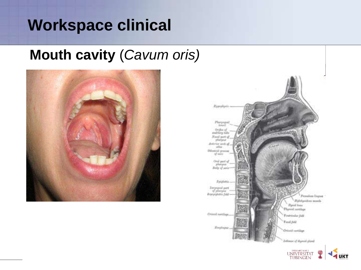## **Workspace clinical**

#### **Mouth cavity** (*Cavum oris)*



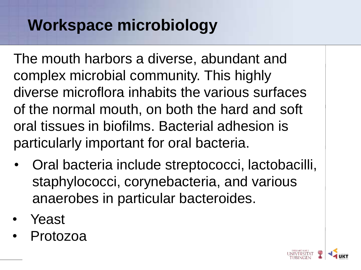## **Workspace microbiology**

The mouth harbors a diverse, abundant and complex microbial community. This highly diverse microflora inhabits the various surfaces of the normal mouth, on both the hard and soft oral tissues in biofilms. Bacterial adhesion is particularly important for oral bacteria.

- Oral bacteria include streptococci, lactobacilli, staphylococci, corynebacteria, and various anaerobes in particular bacteroides.
- Yeast
- Protozoa

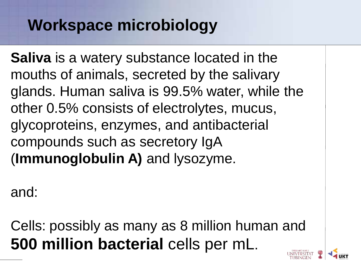## **Workspace microbiology**

**Saliva** is a watery substance located in the mouths of animals, secreted by the salivary glands. Human saliva is 99.5% water, while the other 0.5% consists of electrolytes, mucus, glycoproteins, enzymes, and antibacterial compounds such as secretory IgA (**Immunoglobulin A)** and lysozyme.

and:

Cells: possibly as many as 8 million human and **500 million bacterial** cells per mL.

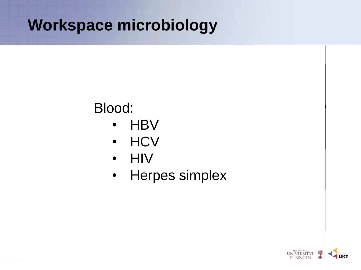## **Workspace microbiology**

### Blood:

- HBV
- HCV
- HIV
- Herpes simplex

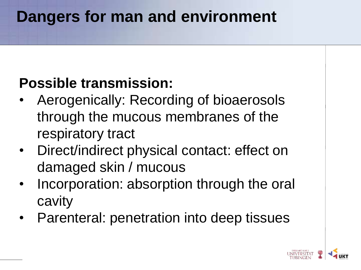## **Dangers for man and environment**

#### **Possible transmission:**

- Aerogenically: Recording of bioaerosols through the mucous membranes of the respiratory tract
- Direct/indirect physical contact: effect on damaged skin / mucous
- Incorporation: absorption through the oral cavity
- Parenteral: penetration into deep tissues

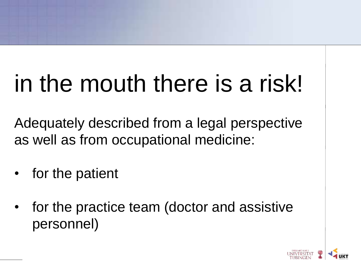## in the mouth there is a risk!

Adequately described from a legal perspective as well as from occupational medicine:

- for the patient
- for the practice team (doctor and assistive personnel)

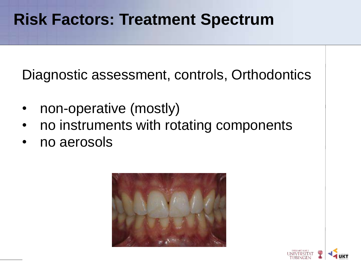Diagnostic assessment, controls, Orthodontics

- non-operative (mostly)
- no instruments with rotating components
- no aerosols

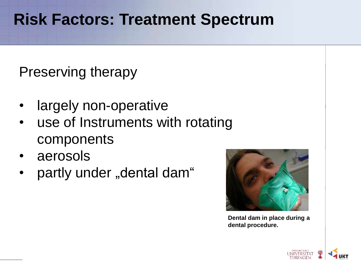Preserving therapy

- largely non-operative
- use of Instruments with rotating components
- aerosols
- partly under "dental dam"



**Dental dam in place during a dental procedure.**

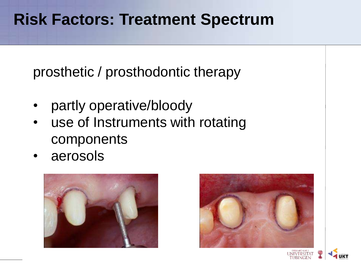prosthetic / prosthodontic therapy

- partly operative/bloody
- use of Instruments with rotating components
- aerosols





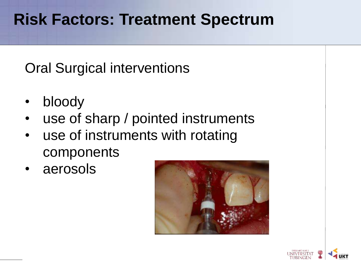Oral Surgical interventions

- bloody
- use of sharp / pointed instruments
- use of instruments with rotating components
- aerosols



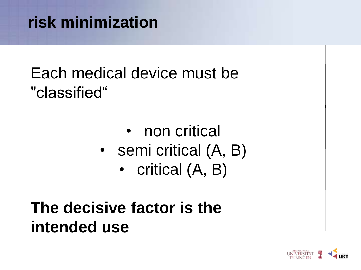## **risk minimization**

## Each medical device must be "classified"

- non critical
- semi critical (A, B)
	- critical (A, B)

## **The decisive factor is the intended use**

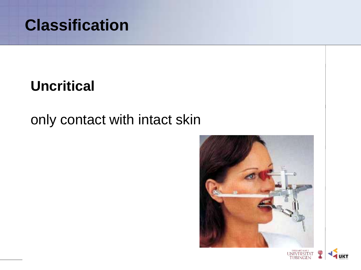

#### **Uncritical**

#### only contact with intact skin



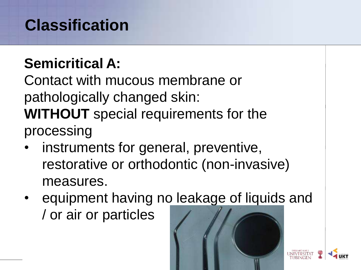## **Classification**

### **Semicritical A:**

Contact with mucous membrane or pathologically changed skin: **WITHOUT** special requirements for the processing

- instruments for general, preventive, restorative or orthodontic (non-invasive) measures.
- equipment having no leakage of liquids and / or air or particles



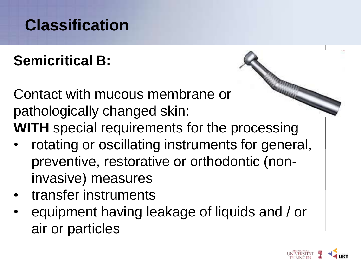## **Classification**

## **Semicritical B:**

Contact with mucous membrane or pathologically changed skin: **WITH** special requirements for the processing

- rotating or oscillating instruments for general, preventive, restorative or orthodontic (noninvasive) measures
- transfer instruments
- equipment having leakage of liquids and / or air or particles

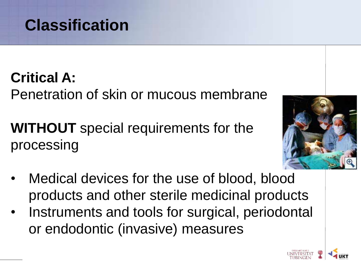

**Critical A:** Penetration of skin or mucous membrane

**WITHOUT** special requirements for the processing



- Medical devices for the use of blood, blood products and other sterile medicinal products
- Instruments and tools for surgical, periodontal or endodontic (invasive) measures

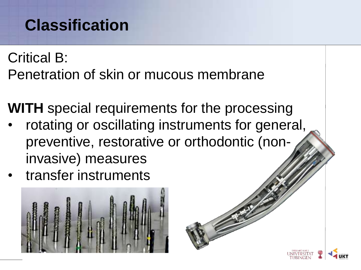## **Classification**

Critical B: Penetration of skin or mucous membrane

**WITH** special requirements for the processing

- rotating or oscillating instruments for general, preventive, restorative or orthodontic (noninvasive) measures
- transfer instruments

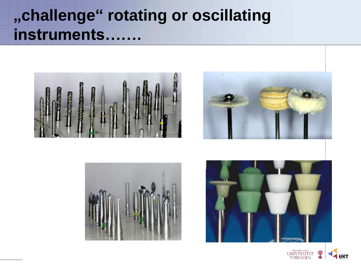## **"challenge" rotating or oscillating instruments…….**









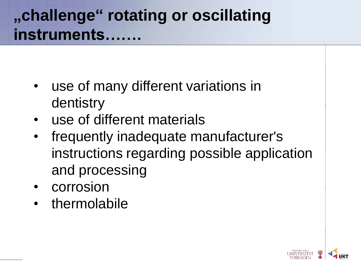## **"challenge" rotating or oscillating instruments…….**

- use of many different variations in dentistry
- use of different materials
- frequently inadequate manufacturer's instructions regarding possible application and processing
- corrosion
- thermolabile

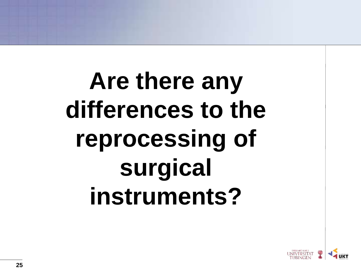## **Are there any differences to the reprocessing of surgical instruments?**

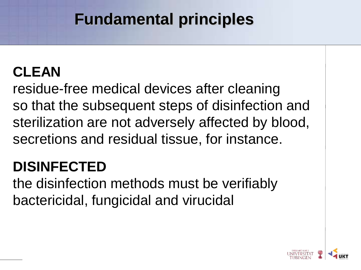## **CLEAN**

residue-free medical devices after cleaning so that the subsequent steps of disinfection and sterilization are not adversely affected by blood, secretions and residual tissue, for instance.

### **DISINFECTED**

the disinfection methods must be verifiably bactericidal, fungicidal and virucidal

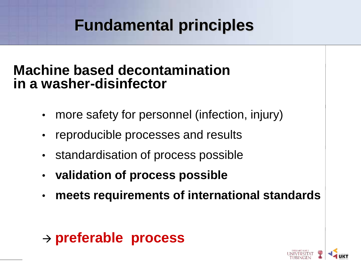#### **Machine based decontamination in a washer-disinfector**

- more safety for personnel (infection, injury)
- reproducible processes and results
- standardisation of process possible
- **validation of process possible**
- **meets requirements of international standards**

#### **preferable process**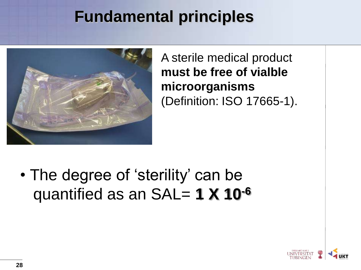

A sterile medical product **must be free of vialble microorganisms** (Definition: ISO 17665-1).

• The degree of 'sterility' can be quantified as an SAL= **1 X 10-6**

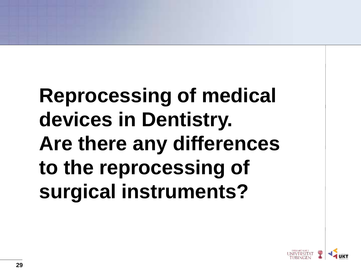## **Reprocessing of medical devices in Dentistry. Are there any differences to the reprocessing of surgical instruments?**

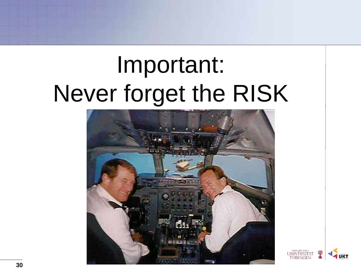## Important: Never forget the RISK